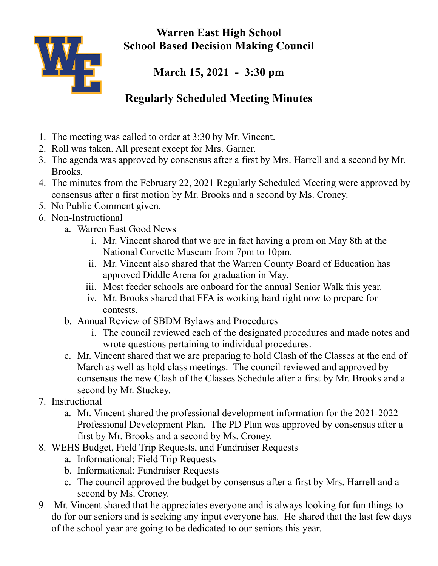



**March 15, 2021 - 3:30 pm**

## **Regularly Scheduled Meeting Minutes**

- 1. The meeting was called to order at 3:30 by Mr. Vincent.
- 2. Roll was taken. All present except for Mrs. Garner.
- 3. The agenda was approved by consensus after a first by Mrs. Harrell and a second by Mr. Brooks.
- 4. The minutes from the February 22, 2021 Regularly Scheduled Meeting were approved by consensus after a first motion by Mr. Brooks and a second by Ms. Croney.
- 5. No Public Comment given.
- 6. Non-Instructional
	- a. Warren East Good News
		- i. Mr. Vincent shared that we are in fact having a prom on May 8th at the National Corvette Museum from 7pm to 10pm.
		- ii. Mr. Vincent also shared that the Warren County Board of Education has approved Diddle Arena for graduation in May.
		- iii. Most feeder schools are onboard for the annual Senior Walk this year.
		- iv. Mr. Brooks shared that FFA is working hard right now to prepare for contests.
	- b. Annual Review of SBDM Bylaws and Procedures
		- i. The council reviewed each of the designated procedures and made notes and wrote questions pertaining to individual procedures.
	- c. Mr. Vincent shared that we are preparing to hold Clash of the Classes at the end of March as well as hold class meetings. The council reviewed and approved by consensus the new Clash of the Classes Schedule after a first by Mr. Brooks and a second by Mr. Stuckey.
- 7. Instructional
	- a. Mr. Vincent shared the professional development information for the 2021-2022 Professional Development Plan. The PD Plan was approved by consensus after a first by Mr. Brooks and a second by Ms. Croney.
- 8. WEHS Budget, Field Trip Requests, and Fundraiser Requests
	- a. Informational: Field Trip Requests
	- b. Informational: Fundraiser Requests
	- c. The council approved the budget by consensus after a first by Mrs. Harrell and a second by Ms. Croney.
- 9. Mr. Vincent shared that he appreciates everyone and is always looking for fun things to do for our seniors and is seeking any input everyone has. He shared that the last few days of the school year are going to be dedicated to our seniors this year.